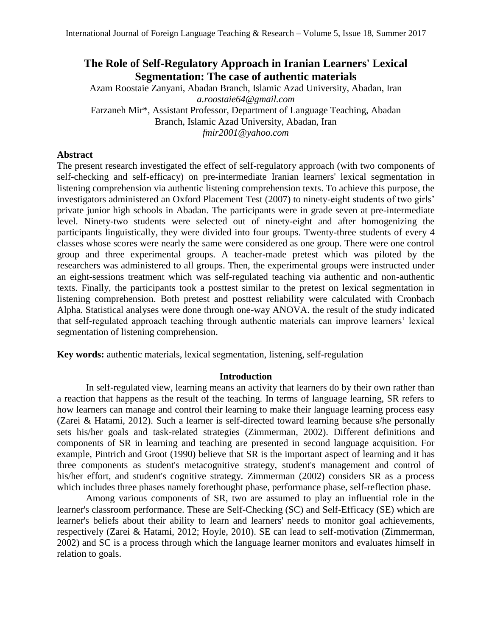# **The Role of Self-Regulatory Approach in Iranian Learners' Lexical Segmentation: The case of authentic materials**

Azam Roostaie Zanyani, Abadan Branch, Islamic Azad University, Abadan, Iran *a.roostaie64@gmail.com* Farzaneh Mir\*, Assistant Professor, Department of Language Teaching, Abadan Branch, Islamic Azad University, Abadan, Iran *fmir2001@yahoo.com*

# **Abstract**

The present research investigated the effect of self-regulatory approach (with two components of self-checking and self-efficacy) on pre-intermediate Iranian learners' lexical segmentation in listening comprehension via authentic listening comprehension texts. To achieve this purpose, the investigators administered an Oxford Placement Test (2007) to ninety-eight students of two girls' private junior high schools in Abadan. The participants were in grade seven at pre-intermediate level. Ninety-two students were selected out of ninety-eight and after homogenizing the participants linguistically, they were divided into four groups. Twenty-three students of every 4 classes whose scores were nearly the same were considered as one group. There were one control group and three experimental groups. A teacher-made pretest which was piloted by the researchers was administered to all groups. Then, the experimental groups were instructed under an eight-sessions treatment which was self-regulated teaching via authentic and non-authentic texts. Finally, the participants took a posttest similar to the pretest on lexical segmentation in listening comprehension. Both pretest and posttest reliability were calculated with Cronbach Alpha. Statistical analyses were done through one-way ANOVA. the result of the study indicated that self-regulated approach teaching through authentic materials can improve learners' lexical segmentation of listening comprehension.

**Key words:** authentic materials, lexical segmentation, listening, self-regulation

## **Introduction**

In self-regulated view, learning means an activity that learners do by their own rather than a reaction that happens as the result of the teaching. In terms of language learning, SR refers to how learners can manage and control their learning to make their language learning process easy (Zarei & Hatami, 2012). Such a learner is self-directed toward learning because s/he personally sets his/her goals and task-related strategies (Zimmerman, 2002). Different definitions and components of SR in learning and teaching are presented in second language acquisition. For example, Pintrich and Groot (1990) believe that SR is the important aspect of learning and it has three components as student's metacognitive strategy, student's management and control of his/her effort, and student's cognitive strategy. Zimmerman (2002) considers SR as a process which includes three phases namely forethought phase, performance phase, self-reflection phase.

Among various components of SR, two are assumed to play an influential role in the learner's classroom performance. These are Self-Checking (SC) and Self-Efficacy (SE) which are learner's beliefs about their ability to learn and learners' needs to monitor goal achievements, respectively (Zarei & Hatami, 2012; Hoyle, 2010). SE can lead to self-motivation (Zimmerman, 2002) and SC is a process through which the language learner monitors and evaluates himself in relation to goals.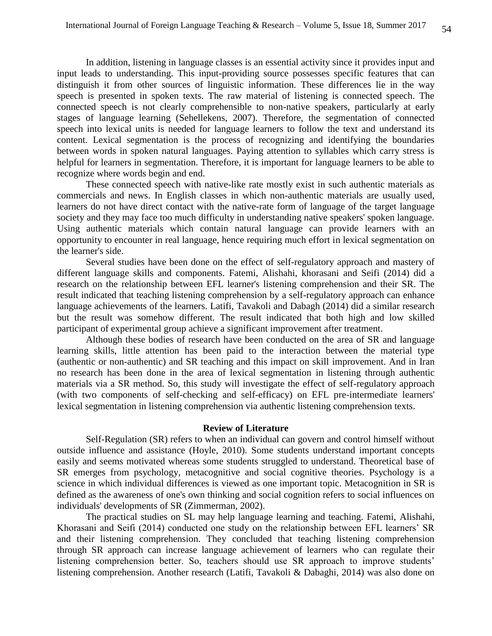In addition, listening in language classes is an essential activity since it provides input and input leads to understanding. This input-providing source possesses specific features that can distinguish it from other sources of linguistic information. These differences lie in the way speech is presented in spoken texts. The raw material of listening is connected speech. The connected speech is not clearly comprehensible to non-native speakers, particularly at early stages of language learning (Sehellekens, 2007). Therefore, the segmentation of connected speech into lexical units is needed for language learners to follow the text and understand its content. Lexical segmentation is the process of recognizing and identifying the boundaries between words in spoken natural languages. Paying attention to syllables which carry stress is helpful for learners in segmentation. Therefore, it is important for language learners to be able to recognize where words begin and end.

These connected speech with native-like rate mostly exist in such authentic materials as commercials and news. In English classes in which non-authentic materials are usually used, learners do not have direct contact with the native-rate form of language of the target language society and they may face too much difficulty in understanding native speakers' spoken language. Using authentic materials which contain natural language can provide learners with an opportunity to encounter in real language, hence requiring much effort in lexical segmentation on the learner's side.

Several studies have been done on the effect of self-regulatory approach and mastery of different language skills and components. Fatemi, Alishahi, khorasani and Seifi (2014) did a research on the relationship between EFL learner's listening comprehension and their SR. The result indicated that teaching listening comprehension by a self-regulatory approach can enhance language achievements of the learners. Latifi, Tavakoli and Dabagh (2014) did a similar research but the result was somehow different. The result indicated that both high and low skilled participant of experimental group achieve a significant improvement after treatment.

Although these bodies of research have been conducted on the area of SR and language learning skills, little attention has been paid to the interaction between the material type (authentic or non-authentic) and SR teaching and this impact on skill improvement. And in Iran no research has been done in the area of lexical segmentation in listening through authentic materials via a SR method. So, this study will investigate the effect of self-regulatory approach (with two components of self-checking and self-efficacy) on EFL pre-intermediate learners' lexical segmentation in listening comprehension via authentic listening comprehension texts.

#### **Review of Literature**

Self-Regulation (SR) refers to when an individual can govern and control himself without outside influence and assistance (Hoyle, 2010). Some students understand important concepts easily and seems motivated whereas some students struggled to understand. Theoretical base of SR emerges from psychology, metacognitive and social cognitive theories. Psychology is a science in which individual differences is viewed as one important topic. Metacognition in SR is defined as the awareness of one's own thinking and social cognition refers to social influences on individuals' developments of SR (Zimmerman, 2002).

The practical studies on SL may help language learning and teaching. Fatemi, Alishahi, Khorasani and Seifi (2014) conducted one study on the relationship between EFL learners' SR and their listening comprehension. They concluded that teaching listening comprehension through SR approach can increase language achievement of learners who can regulate their listening comprehension better. So, teachers should use SR approach to improve students' listening comprehension. Another research (Latifi, Tavakoli & Dabaghi, 2014) was also done on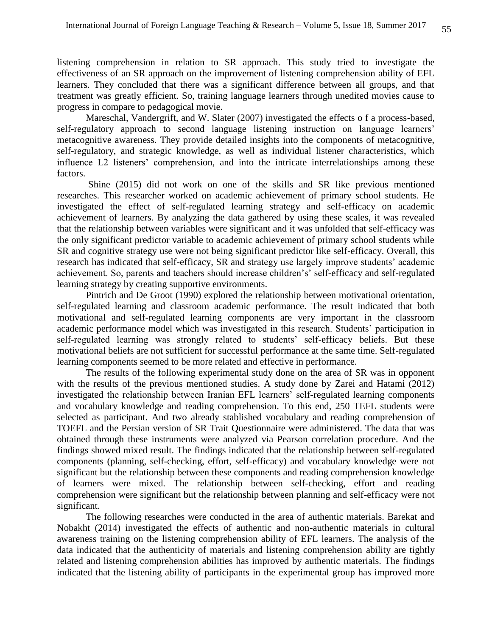listening comprehension in relation to SR approach. This study tried to investigate the effectiveness of an SR approach on the improvement of listening comprehension ability of EFL learners. They concluded that there was a significant difference between all groups, and that treatment was greatly efficient. So, training language learners through unedited movies cause to progress in compare to pedagogical movie.

Mareschal, Vandergrift, and W. Slater (2007) investigated the effects o f a process-based, self-regulatory approach to second language listening instruction on language learners' metacognitive awareness. They provide detailed insights into the components of metacognitive, self-regulatory, and strategic knowledge, as well as individual listener characteristics, which influence L2 listeners' comprehension, and into the intricate interrelationships among these factors.

Shine (2015) did not work on one of the skills and SR like previous mentioned researches. This researcher worked on academic achievement of primary school students. He investigated the effect of self-regulated learning strategy and self-efficacy on academic achievement of learners. By analyzing the data gathered by using these scales, it was revealed that the relationship between variables were significant and it was unfolded that self-efficacy was the only significant predictor variable to academic achievement of primary school students while SR and cognitive strategy use were not being significant predictor like self-efficacy. Overall, this research has indicated that self-efficacy, SR and strategy use largely improve students' academic achievement. So, parents and teachers should increase children's' self-efficacy and self-regulated learning strategy by creating supportive environments.

Pintrich and De Groot (1990) explored the relationship between motivational orientation, self-regulated learning and classroom academic performance. The result indicated that both motivational and self-regulated learning components are very important in the classroom academic performance model which was investigated in this research. Students' participation in self-regulated learning was strongly related to students' self-efficacy beliefs. But these motivational beliefs are not sufficient for successful performance at the same time. Self-regulated learning components seemed to be more related and effective in performance.

The results of the following experimental study done on the area of SR was in opponent with the results of the previous mentioned studies. A study done by Zarei and Hatami (2012) investigated the relationship between Iranian EFL learners' self-regulated learning components and vocabulary knowledge and reading comprehension. To this end, 250 TEFL students were selected as participant. And two already stablished vocabulary and reading comprehension of TOEFL and the Persian version of SR Trait Questionnaire were administered. The data that was obtained through these instruments were analyzed via Pearson correlation procedure. And the findings showed mixed result. The findings indicated that the relationship between self-regulated components (planning, self-checking, effort, self-efficacy) and vocabulary knowledge were not significant but the relationship between these components and reading comprehension knowledge of learners were mixed. The relationship between self-checking, effort and reading comprehension were significant but the relationship between planning and self-efficacy were not significant.

The following researches were conducted in the area of authentic materials. Barekat and Nobakht (2014) investigated the effects of authentic and non-authentic materials in cultural awareness training on the listening comprehension ability of EFL learners. The analysis of the data indicated that the authenticity of materials and listening comprehension ability are tightly related and listening comprehension abilities has improved by authentic materials. The findings indicated that the listening ability of participants in the experimental group has improved more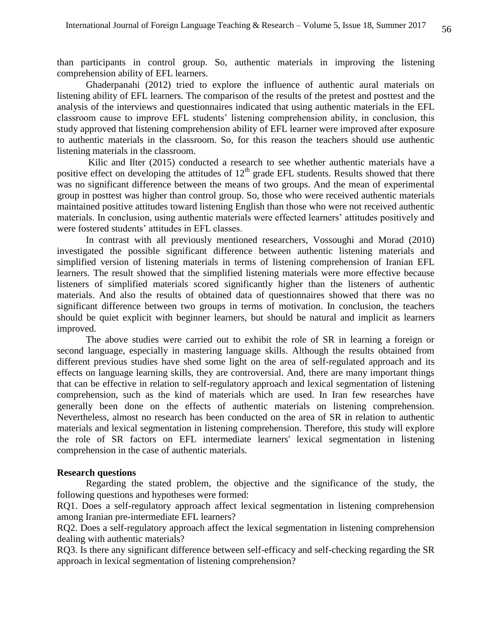than participants in control group. So, authentic materials in improving the listening comprehension ability of EFL learners.

Ghaderpanahi (2012) tried to explore the influence of authentic aural materials on listening ability of EFL learners. The comparison of the results of the pretest and posttest and the analysis of the interviews and questionnaires indicated that using authentic materials in the EFL classroom cause to improve EFL students' listening comprehension ability, in conclusion, this study approved that listening comprehension ability of EFL learner were improved after exposure to authentic materials in the classroom. So, for this reason the teachers should use authentic listening materials in the classroom.

Kilic and Ilter (2015) conducted a research to see whether authentic materials have a positive effect on developing the attitudes of  $12<sup>th</sup>$  grade EFL students. Results showed that there was no significant difference between the means of two groups. And the mean of experimental group in posttest was higher than control group. So, those who were received authentic materials maintained positive attitudes toward listening English than those who were not received authentic materials. In conclusion, using authentic materials were effected learners' attitudes positively and were fostered students' attitudes in EFL classes.

In contrast with all previously mentioned researchers, Vossoughi and Morad (2010) investigated the possible significant difference between authentic listening materials and simplified version of listening materials in terms of listening comprehension of Iranian EFL learners. The result showed that the simplified listening materials were more effective because listeners of simplified materials scored significantly higher than the listeners of authentic materials. And also the results of obtained data of questionnaires showed that there was no significant difference between two groups in terms of motivation. In conclusion, the teachers should be quiet explicit with beginner learners, but should be natural and implicit as learners improved.

The above studies were carried out to exhibit the role of SR in learning a foreign or second language, especially in mastering language skills. Although the results obtained from different previous studies have shed some light on the area of self-regulated approach and its effects on language learning skills, they are controversial. And, there are many important things that can be effective in relation to self-regulatory approach and lexical segmentation of listening comprehension, such as the kind of materials which are used. In Iran few researches have generally been done on the effects of authentic materials on listening comprehension. Nevertheless, almost no research has been conducted on the area of SR in relation to authentic materials and lexical segmentation in listening comprehension. Therefore, this study will explore the role of SR factors on EFL intermediate learners' lexical segmentation in listening comprehension in the case of authentic materials.

## **Research questions**

Regarding the stated problem, the objective and the significance of the study, the following questions and hypotheses were formed:

RQ1. Does a self-regulatory approach affect lexical segmentation in listening comprehension among Iranian pre-intermediate EFL learners?

RQ2. Does a self-regulatory approach affect the lexical segmentation in listening comprehension dealing with authentic materials?

RQ3. Is there any significant difference between self-efficacy and self-checking regarding the SR approach in lexical segmentation of listening comprehension?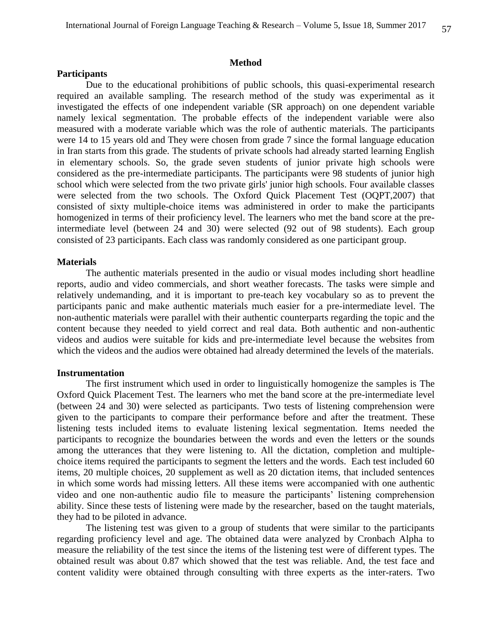#### **Method**

## **Participants**

Due to the educational prohibitions of public schools, this quasi-experimental research required an available sampling. The research method of the study was experimental as it investigated the effects of one independent variable (SR approach) on one dependent variable namely lexical segmentation. The probable effects of the independent variable were also measured with a moderate variable which was the role of authentic materials. The participants were 14 to 15 years old and They were chosen from grade 7 since the formal language education in Iran starts from this grade. The students of private schools had already started learning English in elementary schools. So, the grade seven students of junior private high schools were considered as the pre-intermediate participants. The participants were 98 students of junior high school which were selected from the two private girls' junior high schools. Four available classes were selected from the two schools. The Oxford Quick Placement Test (OQPT,2007) that consisted of sixty multiple-choice items was administered in order to make the participants homogenized in terms of their proficiency level. The learners who met the band score at the preintermediate level (between 24 and 30) were selected (92 out of 98 students). Each group consisted of 23 participants. Each class was randomly considered as one participant group.

#### **Materials**

The authentic materials presented in the audio or visual modes including short headline reports, audio and video commercials, and short weather forecasts. The tasks were simple and relatively undemanding, and it is important to pre-teach key vocabulary so as to prevent the participants panic and make authentic materials much easier for a pre-intermediate level. The non-authentic materials were parallel with their authentic counterparts regarding the topic and the content because they needed to yield correct and real data. Both authentic and non-authentic videos and audios were suitable for kids and pre-intermediate level because the websites from which the videos and the audios were obtained had already determined the levels of the materials.

#### **Instrumentation**

The first instrument which used in order to linguistically homogenize the samples is The Oxford Quick Placement Test. The learners who met the band score at the pre-intermediate level (between 24 and 30) were selected as participants. Two tests of listening comprehension were given to the participants to compare their performance before and after the treatment. These listening tests included items to evaluate listening lexical segmentation. Items needed the participants to recognize the boundaries between the words and even the letters or the sounds among the utterances that they were listening to. All the dictation, completion and multiplechoice items required the participants to segment the letters and the words. Each test included 60 items, 20 multiple choices, 20 supplement as well as 20 dictation items, that included sentences in which some words had missing letters. All these items were accompanied with one authentic video and one non-authentic audio file to measure the participants' listening comprehension ability. Since these tests of listening were made by the researcher, based on the taught materials, they had to be piloted in advance.

The listening test was given to a group of students that were similar to the participants regarding proficiency level and age. The obtained data were analyzed by Cronbach Alpha to measure the reliability of the test since the items of the listening test were of different types. The obtained result was about 0.87 which showed that the test was reliable. And, the test face and content validity were obtained through consulting with three experts as the inter-raters. Two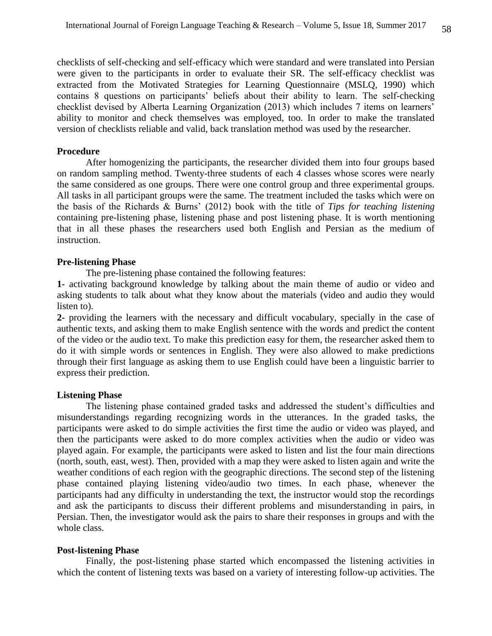checklists of self-checking and self-efficacy which were standard and were translated into Persian were given to the participants in order to evaluate their SR. The self-efficacy checklist was extracted from the Motivated Strategies for Learning Questionnaire (MSLQ, 1990) which contains 8 questions on participants' beliefs about their ability to learn. The self-checking checklist devised by Alberta Learning Organization (2013) which includes 7 items on learners' ability to monitor and check themselves was employed, too. In order to make the translated version of checklists reliable and valid, back translation method was used by the researcher.

## **Procedure**

After homogenizing the participants, the researcher divided them into four groups based on random sampling method. Twenty-three students of each 4 classes whose scores were nearly the same considered as one groups. There were one control group and three experimental groups. All tasks in all participant groups were the same. The treatment included the tasks which were on the basis of the Richards & Burns' (2012) book with the title of *Tips for teaching listening* containing pre-listening phase, listening phase and post listening phase. It is worth mentioning that in all these phases the researchers used both English and Persian as the medium of instruction.

## **Pre-listening Phase**

The pre-listening phase contained the following features:

**1-** activating background knowledge by talking about the main theme of audio or video and asking students to talk about what they know about the materials (video and audio they would listen to).

**2-** providing the learners with the necessary and difficult vocabulary, specially in the case of authentic texts, and asking them to make English sentence with the words and predict the content of the video or the audio text. To make this prediction easy for them, the researcher asked them to do it with simple words or sentences in English. They were also allowed to make predictions through their first language as asking them to use English could have been a linguistic barrier to express their prediction.

## **Listening Phase**

The listening phase contained graded tasks and addressed the student's difficulties and misunderstandings regarding recognizing words in the utterances. In the graded tasks, the participants were asked to do simple activities the first time the audio or video was played, and then the participants were asked to do more complex activities when the audio or video was played again. For example, the participants were asked to listen and list the four main directions (north, south, east, west). Then, provided with a map they were asked to listen again and write the weather conditions of each region with the geographic directions. The second step of the listening phase contained playing listening video/audio two times. In each phase, whenever the participants had any difficulty in understanding the text, the instructor would stop the recordings and ask the participants to discuss their different problems and misunderstanding in pairs, in Persian. Then, the investigator would ask the pairs to share their responses in groups and with the whole class.

#### **Post-listening Phase**

Finally, the post-listening phase started which encompassed the listening activities in which the content of listening texts was based on a variety of interesting follow-up activities. The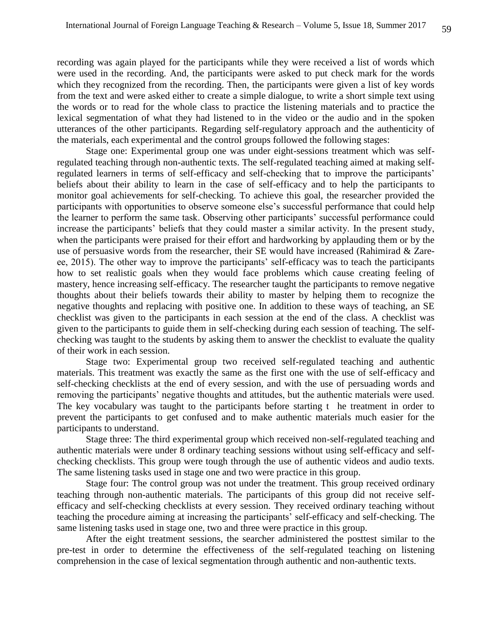recording was again played for the participants while they were received a list of words which were used in the recording. And, the participants were asked to put check mark for the words which they recognized from the recording. Then, the participants were given a list of key words from the text and were asked either to create a simple dialogue, to write a short simple text using the words or to read for the whole class to practice the listening materials and to practice the lexical segmentation of what they had listened to in the video or the audio and in the spoken utterances of the other participants. Regarding self-regulatory approach and the authenticity of the materials, each experimental and the control groups followed the following stages:

Stage one: Experimental group one was under eight-sessions treatment which was selfregulated teaching through non-authentic texts. The self-regulated teaching aimed at making selfregulated learners in terms of self-efficacy and self-checking that to improve the participants' beliefs about their ability to learn in the case of self-efficacy and to help the participants to monitor goal achievements for self-checking. To achieve this goal, the researcher provided the participants with opportunities to observe someone else's successful performance that could help the learner to perform the same task. Observing other participants' successful performance could increase the participants' beliefs that they could master a similar activity. In the present study, when the participants were praised for their effort and hardworking by applauding them or by the use of persuasive words from the researcher, their SE would have increased (Rahimirad & Zareee, 2015). The other way to improve the participants' self-efficacy was to teach the participants how to set realistic goals when they would face problems which cause creating feeling of mastery, hence increasing self-efficacy. The researcher taught the participants to remove negative thoughts about their beliefs towards their ability to master by helping them to recognize the negative thoughts and replacing with positive one. In addition to these ways of teaching, an SE checklist was given to the participants in each session at the end of the class. A checklist was given to the participants to guide them in self-checking during each session of teaching. The selfchecking was taught to the students by asking them to answer the checklist to evaluate the quality of their work in each session.

Stage two: Experimental group two received self-regulated teaching and authentic materials. This treatment was exactly the same as the first one with the use of self-efficacy and self-checking checklists at the end of every session, and with the use of persuading words and removing the participants' negative thoughts and attitudes, but the authentic materials were used. The key vocabulary was taught to the participants before starting t he treatment in order to prevent the participants to get confused and to make authentic materials much easier for the participants to understand.

Stage three: The third experimental group which received non-self-regulated teaching and authentic materials were under 8 ordinary teaching sessions without using self-efficacy and selfchecking checklists. This group were tough through the use of authentic videos and audio texts. The same listening tasks used in stage one and two were practice in this group.

Stage four: The control group was not under the treatment. This group received ordinary teaching through non-authentic materials. The participants of this group did not receive selfefficacy and self-checking checklists at every session. They received ordinary teaching without teaching the procedure aiming at increasing the participants' self-efficacy and self-checking. The same listening tasks used in stage one, two and three were practice in this group.

After the eight treatment sessions, the searcher administered the posttest similar to the pre-test in order to determine the effectiveness of the self-regulated teaching on listening comprehension in the case of lexical segmentation through authentic and non-authentic texts.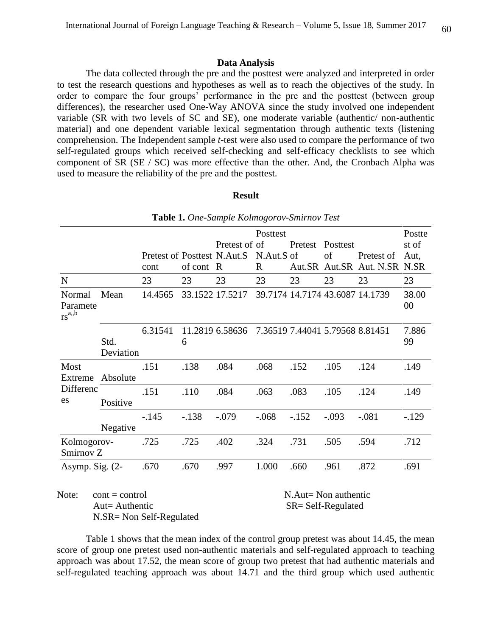## **Data Analysis**

The data collected through the pre and the posttest were analyzed and interpreted in order to test the research questions and hypotheses as well as to reach the objectives of the study. In order to compare the four groups' performance in the pre and the posttest (between group differences), the researcher used One-Way ANOVA since the study involved one independent variable (SR with two levels of SC and SE), one moderate variable (authentic/ non-authentic material) and one dependent variable lexical segmentation through authentic texts (listening comprehension. The Independent sample *t*-test were also used to compare the performance of two self-regulated groups which received self-checking and self-efficacy checklists to see which component of SR (SE / SC) was more effective than the other. And, the Cronbach Alpha was used to measure the reliability of the pre and the posttest.

#### **Result**

|  |  |  | Table 1. One-Sample Kolmogorov-Smirnov Test |  |  |
|--|--|--|---------------------------------------------|--|--|
|--|--|--|---------------------------------------------|--|--|

|                                  |                   |                             |         |                 | Posttest     |         | Postte                          |                                 |             |
|----------------------------------|-------------------|-----------------------------|---------|-----------------|--------------|---------|---------------------------------|---------------------------------|-------------|
|                                  |                   |                             |         | Pretest of of   |              | Pretest | Posttest                        |                                 | st of       |
|                                  |                   | Pretest of Posttest N.Aut.S |         |                 | N.Aut.S of   |         | of                              | Pretest of                      | Aut,        |
|                                  |                   | cont                        | of cont | $\mathbb{R}$    | $\mathbf{R}$ | Aut.SR  | Aut.SR                          | Aut. N.SR                       | N.SR        |
| $\mathbf N$                      |                   | 23                          | 23      | 23              | 23           | 23      | 23                              | 23                              | 23          |
| Normal<br>Paramete<br>$rs^{a,b}$ | Mean              | 14.4565                     |         | 33.1522 17.5217 |              |         |                                 | 39.7174 14.7174 43.6087 14.1739 | 38.00<br>00 |
|                                  | Std.<br>Deviation | 6.31541                     | 6       | 11.2819 6.58636 |              |         | 7.36519 7.44041 5.79568 8.81451 |                                 | 7.886<br>99 |
|                                  |                   |                             |         |                 |              |         |                                 |                                 |             |
| Most<br>Extreme                  | Absolute          | .151                        | .138    | .084            | .068         | .152    | .105                            | .124                            | .149        |
| Differenc<br>es                  | Positive          | .151                        | .110    | .084            | .063         | .083    | .105                            | .124                            | .149        |
|                                  | Negative          | $-.145$                     | $-.138$ | $-.079$         | $-.068$      | $-.152$ | $-.093$                         | $-.081$                         | $-129$      |
| Kolmogorov-<br>Smirnov Z         |                   | .725                        | .725    | .402            | .324         | .731    | .505                            | .594                            | .712        |
| Asymp. Sig. $(2-$                |                   | .670                        | .670    | .997            | 1.000        | .660    | .961                            | .872                            | .691        |

Note: cont = control N.Aut= Non authentic Aut= Authentic SR= Self-Regulated nu - Additional<br>N.SR = Non Self-Regulated  $\text{cont} = \text{control}$ 

Table 1 shows that the mean index of the control group pretest was about 14.45, the mean score of group one pretest used non-authentic materials and self-regulated approach to teaching approach was about 17.52, the mean score of group two pretest that had authentic materials and self-regulated teaching approach was about 14.71 and the third group which used authentic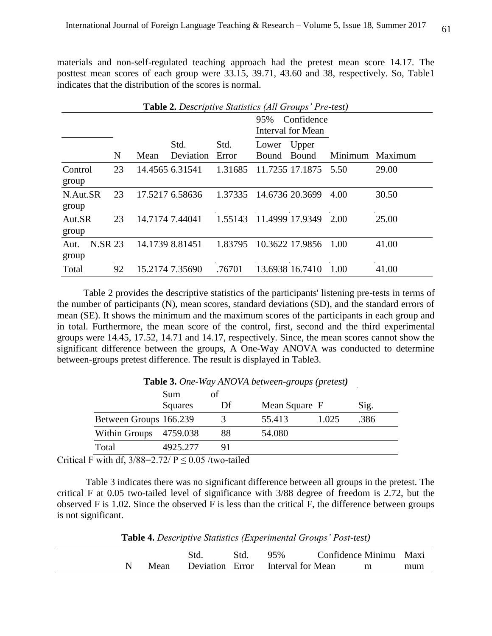materials and non-self-regulated teaching approach had the pretest mean score 14.17. The posttest mean scores of each group were 33.15, 39.71, 43.60 and 38, respectively. So, Table1 indicates that the distribution of the scores is normal.

|                                 | <b>Table 2.</b> Descriptive Statistics (All Groups' Pre-test) |      |                   |               |                       |                                 |         |         |  |  |  |  |
|---------------------------------|---------------------------------------------------------------|------|-------------------|---------------|-----------------------|---------------------------------|---------|---------|--|--|--|--|
|                                 |                                                               |      |                   |               | 95%                   | Confidence<br>Interval for Mean |         |         |  |  |  |  |
|                                 | N                                                             | Mean | Std.<br>Deviation | Std.<br>Error | Lower<br><b>Bound</b> | Upper<br>Bound                  | Minimum | Maximum |  |  |  |  |
| Control<br>group                | 23                                                            |      | 14.4565 6.31541   | 1.31685       |                       | 11.7255 17.1875                 | 5.50    | 29.00   |  |  |  |  |
| N.Aut.SR<br>group               | 23                                                            |      | 17.5217 6.58636   | 1.37335       |                       | 14.6736 20.3699                 | 4.00    | 30.50   |  |  |  |  |
| Aut.SR<br>group                 | 23                                                            |      | 14.7174 7.44041   | 1.55143       |                       | 11.4999 17.9349                 | 2.00    | 25.00   |  |  |  |  |
| <b>N.SR 23</b><br>Aut.<br>group |                                                               |      | 14.1739 8.81451   | 1.83795       |                       | 10.3622 17.9856                 | 1.00    | 41.00   |  |  |  |  |
| Total                           | 92                                                            |      | 15.2174 7.35690   | .76701        |                       | 13.6938 16.7410                 | 1.00    | 41.00   |  |  |  |  |

 Table 2 provides the descriptive statistics of the participants' listening pre-tests in terms of the number of participants (N), mean scores, standard deviations (SD), and the standard errors of mean (SE). It shows the minimum and the maximum scores of the participants in each group and in total. Furthermore, the mean score of the control, first, second and the third experimental groups were 14.45, 17.52, 14.71 and 14.17, respectively. Since, the mean scores cannot show the significant difference between the groups, A One-Way ANOVA was conducted to determine between-groups pretest difference. The result is displayed in Table3.

|                        | <b>Sum</b> | οť |               |       |      |
|------------------------|------------|----|---------------|-------|------|
|                        | Squares    | Df | Mean Square F |       | Sig. |
| Between Groups 166.239 |            |    | 55.413        | 1.025 | 386  |
| Within Groups          | 4759.038   | 88 | 54.080        |       |      |
| Total                  | 4925.277   |    |               |       |      |

**Table 3.** *One-Way ANOVA between-groups (pretest)*

Critical F with df,  $3/88=2.72/P \le 0.05$ /two-tailed

Table 3 indicates there was no significant difference between all groups in the pretest. The critical F at 0.05 two-tailed level of significance with 3/88 degree of freedom is 2.72, but the observed F is 1.02. Since the observed F is less than the critical F, the difference between groups is not significant.

**Table 4.** *Descriptive Statistics (Experimental Groups' Post-test)*

|      | Std | Std. | 95%                               | Confidence Minimu Maxi |   |     |
|------|-----|------|-----------------------------------|------------------------|---|-----|
| Mean |     |      | Deviation Error Interval for Mean |                        | m | mum |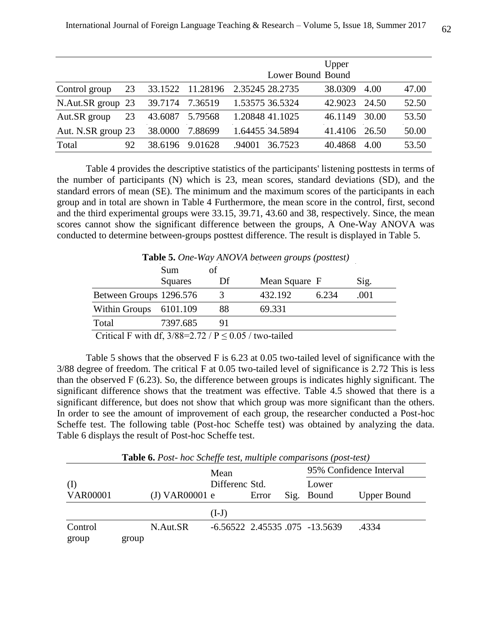|                    |    |         |          |                 |                   | Upper   |       |       |
|--------------------|----|---------|----------|-----------------|-------------------|---------|-------|-------|
|                    |    |         |          |                 | Lower Bound Bound |         |       |       |
| Control group      | 23 | 33.1522 | 11.28196 | 2.35245 28.2735 |                   | 38.0309 | 4.00  | 47.00 |
| N.Aut.SR group 23  |    | 39.7174 | 7.36519  | 1.53575 36.5324 |                   | 42.9023 | 24.50 | 52.50 |
| Aut.SR group       | 23 | 43.6087 | 5.79568  |                 | 1.20848 41.1025   | 46.1149 | 30.00 | 53.50 |
| Aut. N.SR group 23 |    | 38.0000 | 7.88699  |                 | 1.64455 34.5894   | 41.4106 | 26.50 | 50.00 |
| Total              | 92 | 38.6196 | 9.01628  | .94001          | 36.7523           | 40.4868 | 4.00  | 53.50 |

 Table 4 provides the descriptive statistics of the participants' listening posttests in terms of the number of participants (N) which is 23, mean scores, standard deviations (SD), and the standard errors of mean (SE). The minimum and the maximum scores of the participants in each group and in total are shown in Table 4 Furthermore, the mean score in the control, first, second and the third experimental groups were 33.15, 39.71, 43.60 and 38, respectively. Since, the mean scores cannot show the significant difference between the groups, A One-Way ANOVA was conducted to determine between-groups posttest difference. The result is displayed in Table 5.

| <b>Lable 5.</b> One-Way ANOVA between groups (positest) |          |                                                                                                                                                                                                                                                                                                                                    |               |       |      |  |  |  |  |  |
|---------------------------------------------------------|----------|------------------------------------------------------------------------------------------------------------------------------------------------------------------------------------------------------------------------------------------------------------------------------------------------------------------------------------|---------------|-------|------|--|--|--|--|--|
|                                                         | Sum      | οť                                                                                                                                                                                                                                                                                                                                 |               |       |      |  |  |  |  |  |
|                                                         | Squares  | Df                                                                                                                                                                                                                                                                                                                                 | Mean Square F |       | Sig. |  |  |  |  |  |
| Between Groups 1296.576                                 |          | 3                                                                                                                                                                                                                                                                                                                                  | 432.192       | 6.234 | .001 |  |  |  |  |  |
| <b>Within Groups</b>                                    | 6101.109 | 88                                                                                                                                                                                                                                                                                                                                 | 69.331        |       |      |  |  |  |  |  |
| Total                                                   | 7397.685 | 91                                                                                                                                                                                                                                                                                                                                 |               |       |      |  |  |  |  |  |
| $\sim$ $\sim$                                           |          | $\mathbf{1}$ $\mathbf{1}$ $\mathbf{0}$ $\mathbf{0}$ $\mathbf{0}$ $\mathbf{0}$ $\mathbf{0}$ $\mathbf{0}$ $\mathbf{0}$ $\mathbf{0}$ $\mathbf{0}$ $\mathbf{0}$ $\mathbf{0}$ $\mathbf{0}$ $\mathbf{0}$ $\mathbf{0}$ $\mathbf{0}$ $\mathbf{0}$ $\mathbf{0}$ $\mathbf{0}$ $\mathbf{0}$ $\mathbf{0}$ $\mathbf{0}$ $\mathbf{0}$ $\mathbf{$ |               |       |      |  |  |  |  |  |

|  | Table 5. One-Way ANOVA between groups (posttest) |  |  |
|--|--------------------------------------------------|--|--|
|--|--------------------------------------------------|--|--|

Critical F with df,  $3/88=2.72 / P \le 0.05 /$  two-tailed

Table 5 shows that the observed F is 6.23 at 0.05 two-tailed level of significance with the 3/88 degree of freedom. The critical F at 0.05 two-tailed level of significance is 2.72 This is less than the observed F (6.23). So, the difference between groups is indicates highly significant. The significant difference shows that the treatment was effective. Table 4.5 showed that there is a significant difference, but does not show that which group was more significant than the others. In order to see the amount of improvement of each group, the researcher conducted a Post-hoc Scheffe test. The following table (Post-hoc Scheffe test) was obtained by analyzing the data. Table 6 displays the result of Post-hoc Scheffe test.

|  |  |  |  |  |  | Table 6. Post- hoc Scheffe test, multiple comparisons (post-test) |  |
|--|--|--|--|--|--|-------------------------------------------------------------------|--|
|--|--|--|--|--|--|-------------------------------------------------------------------|--|

|                 |       |                  | Mean           |       |       | 95% Confidence Interval            |                    |  |
|-----------------|-------|------------------|----------------|-------|-------|------------------------------------|--------------------|--|
| (1)             |       |                  | Differenc Std. |       | Lower |                                    |                    |  |
| <b>VAR00001</b> |       | $(J)$ VAR00001 e |                | Error |       | Sig. Bound                         | <b>Upper Bound</b> |  |
|                 |       |                  | $(I-J)$        |       |       |                                    |                    |  |
| Control         |       | N.Aut.SR         |                |       |       | $-6.56522$ 2.45535 .075 $-13.5639$ | 4334               |  |
| group           | group |                  |                |       |       |                                    |                    |  |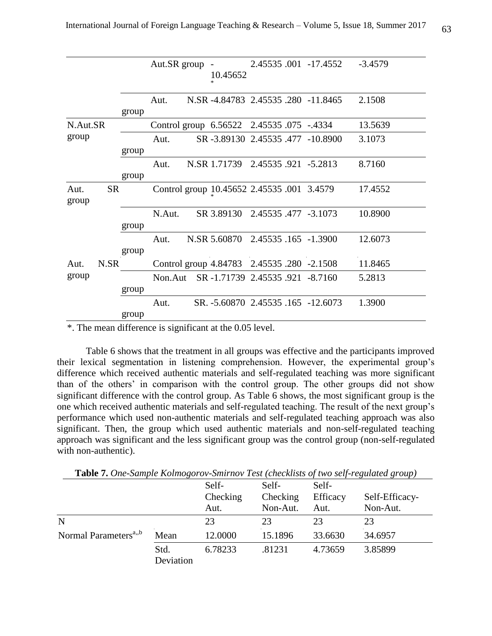|                            |       | Aut.SR group | 10.45652                                   |  | 2.45535 .001 -17.4552               | $-3.4579$ |
|----------------------------|-------|--------------|--------------------------------------------|--|-------------------------------------|-----------|
|                            | group | Aut.         |                                            |  | N.SR -4.84783 2.45535 .280 -11.8465 | 2.1508    |
| N.Aut.SR                   |       |              | Control group 6.56522 2.45535 .075 -.4334  |  |                                     | 13.5639   |
| group                      | group | Aut.         |                                            |  | SR -3.89130 2.45535 .477 -10.8900   | 3.1073    |
|                            | group | Aut.         | N.SR 1.71739 2.45535 .921 -5.2813          |  |                                     | 8.7160    |
| <b>SR</b><br>Aut.<br>group |       |              | Control group 10.45652 2.45535 .001 3.4579 |  |                                     | 17.4552   |
|                            | group | N.Aut.       | SR 3.89130 2.45535 .477 -3.1073            |  |                                     | 10.8900   |
|                            | group | Aut.         | N.SR 5.60870 2.45535 .165 -1.3900          |  |                                     | 12.6073   |
| N.SR<br>Aut.               |       |              | Control group 4.84783 2.45535 .280 -2.1508 |  |                                     | 11.8465   |
| group                      | group | Non.Aut      | SR-1.71739 2.45535 .921 -8.7160            |  |                                     | 5.2813    |
|                            | group | Aut.         | SR. -5.60870 2.45535 .165 -12.6073         |  |                                     | 1.3900    |
|                            |       |              |                                            |  |                                     |           |

<sup>\*.</sup> The mean difference is significant at the 0.05 level.

Table 6 shows that the treatment in all groups was effective and the participants improved their lexical segmentation in listening comprehension. However, the experimental group's difference which received authentic materials and self-regulated teaching was more significant than of the others' in comparison with the control group. The other groups did not show significant difference with the control group. As Table 6 shows, the most significant group is the one which received authentic materials and self-regulated teaching. The result of the next group's performance which used non-authentic materials and self-regulated teaching approach was also significant. Then, the group which used authentic materials and non-self-regulated teaching approach was significant and the less significant group was the control group (non-self-regulated with non-authentic).

**Table 7.** *One-Sample Kolmogorov-Smirnov Test (checklists of two self-regulated group)*

|                                   |                   | Self-<br>Checking<br>Aut. | Self-<br>Checking<br>Non-Aut. | Self-<br>Efficacy<br>Aut. | Self-Efficacy-<br>Non-Aut. |
|-----------------------------------|-------------------|---------------------------|-------------------------------|---------------------------|----------------------------|
| $\mathbf N$                       |                   | 23                        | 23                            | 23                        | 23                         |
| Normal Parameters <sup>a,,b</sup> | Mean              | 12.0000                   | 15.1896                       | 33.6630                   | 34.6957                    |
|                                   | Std.<br>Deviation | 6.78233                   | .81231                        | 4.73659                   | 3.85899                    |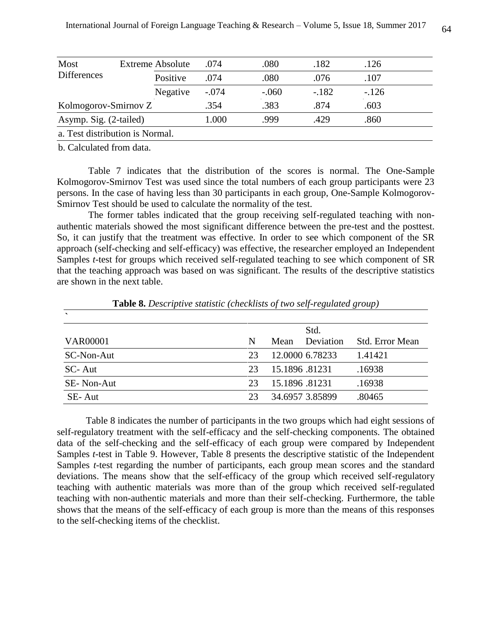| Most<br><b>Differences</b> |  | <b>Extreme Absolute</b> | .074    | .080    | .182    | .126    |
|----------------------------|--|-------------------------|---------|---------|---------|---------|
|                            |  | Positive                | .074    | .080    | .076    | .107    |
|                            |  | Negative                | $-.074$ | $-.060$ | $-.182$ | $-.126$ |
| Kolmogorov-Smirnov Z       |  | .354                    | .383    | .874    | .603    |         |
| Asymp. Sig. (2-tailed)     |  |                         | 1.000   | .999    | .429    | .860    |

a. Test distribution is Normal.

b. Calculated from data.

 Table 7 indicates that the distribution of the scores is normal. The One-Sample Kolmogorov-Smirnov Test was used since the total numbers of each group participants were 23 persons. In the case of having less than 30 participants in each group, One-Sample Kolmogorov-Smirnov Test should be used to calculate the normality of the test.

 The former tables indicated that the group receiving self-regulated teaching with nonauthentic materials showed the most significant difference between the pre-test and the posttest. So, it can justify that the treatment was effective. In order to see which component of the SR approach (self-checking and self-efficacy) was effective, the researcher employed an Independent Samples *t*-test for groups which received self-regulated teaching to see which component of SR that the teaching approach was based on was significant. The results of the descriptive statistics are shown in the next table.

| $\cdot$           |    |               |                 |                 |
|-------------------|----|---------------|-----------------|-----------------|
|                   |    |               | Std.            |                 |
| <b>VAR00001</b>   | N  | Mean          | Deviation       | Std. Error Mean |
| SC-Non-Aut        | 23 |               | 12.0000 6.78233 | 1.41421         |
| SC-Aut            | 23 | 15.1896.81231 |                 | .16938          |
| <b>SE-Non-Aut</b> | 23 | 15.1896.81231 |                 | .16938          |
| SE-Aut            | 23 |               | 34.6957 3.85899 | .80465          |

**Table 8.** *Descriptive statistic (checklists of two self-regulated group)*

Table 8 indicates the number of participants in the two groups which had eight sessions of self-regulatory treatment with the self-efficacy and the self-checking components. The obtained data of the self-checking and the self-efficacy of each group were compared by Independent Samples *t*-test in Table 9. However, Table 8 presents the descriptive statistic of the Independent Samples *t*-test regarding the number of participants, each group mean scores and the standard deviations. The means show that the self-efficacy of the group which received self-regulatory teaching with authentic materials was more than of the group which received self-regulated teaching with non-authentic materials and more than their self-checking. Furthermore, the table shows that the means of the self-efficacy of each group is more than the means of this responses to the self-checking items of the checklist.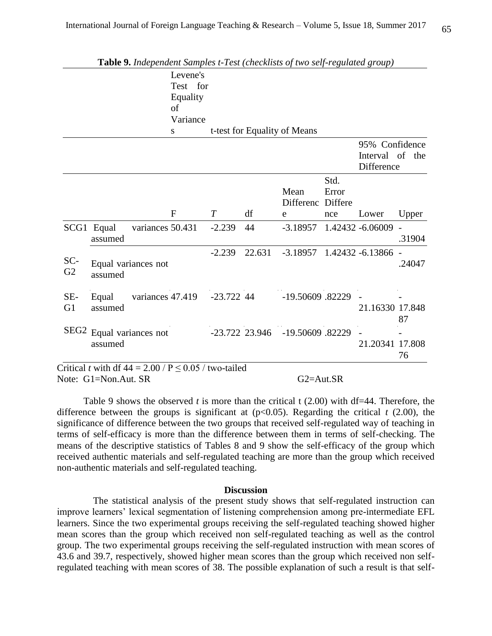|                       | <b>Table 9.</b> Independent Samples t-Test (checklists of two self-regulated group) |                  | Levene's         |              |                 |                              |                          |                                                 |                          |
|-----------------------|-------------------------------------------------------------------------------------|------------------|------------------|--------------|-----------------|------------------------------|--------------------------|-------------------------------------------------|--------------------------|
|                       |                                                                                     |                  | Test for         |              |                 |                              |                          |                                                 |                          |
|                       |                                                                                     |                  | Equality         |              |                 |                              |                          |                                                 |                          |
|                       |                                                                                     |                  | of               |              |                 |                              |                          |                                                 |                          |
|                       |                                                                                     |                  | Variance         |              |                 |                              |                          |                                                 |                          |
|                       |                                                                                     |                  | S                |              |                 | t-test for Equality of Means |                          |                                                 |                          |
|                       |                                                                                     |                  |                  |              |                 |                              |                          | 95% Confidence<br>Interval of the<br>Difference |                          |
|                       |                                                                                     |                  |                  |              |                 | Mean<br>Differenc            | Std.<br>Error<br>Differe |                                                 |                          |
|                       |                                                                                     |                  | $\mathbf{F}$     | T            | df              | e                            | nce                      | Lower                                           | Upper                    |
|                       | SCG1 Equal<br>assumed                                                               | variances 50.431 |                  | $-2.239$     | 44              | $-3.18957$                   |                          | 1.42432 -6.06009                                | $\overline{a}$<br>.31904 |
| SC-<br>G2             | Equal variances not<br>assumed                                                      |                  |                  | $-2.239$     | 22.631          | $-3.18957$                   |                          | 1.42432 -6.13866                                | .24047                   |
| SE-<br>G <sub>1</sub> | Equal<br>assumed                                                                    | variances 47.419 |                  | $-23.722$ 44 |                 | -19.50609.82229              |                          | 21.16330 17.848                                 | 87                       |
| SEG <sub>2</sub>      | Equal variances not<br>assumed                                                      |                  | $-23.722$ 23.946 |              | -19.50609.82229 |                              | 21.20341 17.808          | 76                                              |                          |

Note: G1=Non.Aut. SR G2=Aut.SR

 Table 9 shows the observed *t* is more than the critical t (2.00) with df=44. Therefore, the difference between the groups is significant at  $(p<0.05)$ . Regarding the critical  $t(2.00)$ , the significance of difference between the two groups that received self-regulated way of teaching in terms of self-efficacy is more than the difference between them in terms of self-checking. The means of the descriptive statistics of Tables 8 and 9 show the self-efficacy of the group which received authentic materials and self-regulated teaching are more than the group which received non-authentic materials and self-regulated teaching.

### **Discussion**

 The statistical analysis of the present study shows that self-regulated instruction can improve learners' lexical segmentation of listening comprehension among pre-intermediate EFL learners. Since the two experimental groups receiving the self-regulated teaching showed higher mean scores than the group which received non self-regulated teaching as well as the control group. The two experimental groups receiving the self-regulated instruction with mean scores of 43.6 and 39.7, respectively, showed higher mean scores than the group which received non selfregulated teaching with mean scores of 38. The possible explanation of such a result is that self-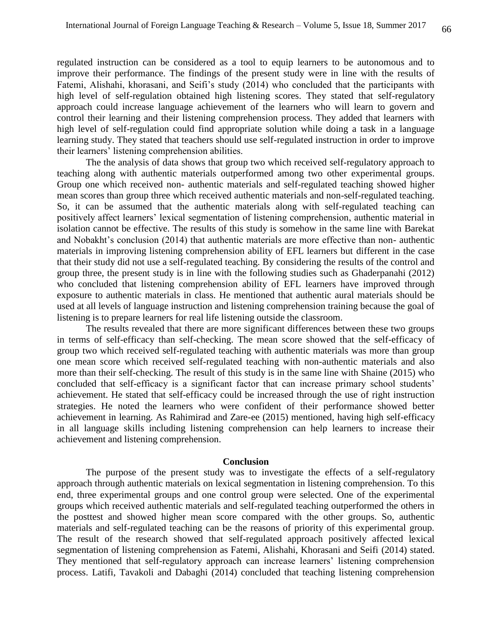regulated instruction can be considered as a tool to equip learners to be autonomous and to improve their performance. The findings of the present study were in line with the results of Fatemi, Alishahi, khorasani, and Seifi's study (2014) who concluded that the participants with high level of self-regulation obtained high listening scores. They stated that self-regulatory approach could increase language achievement of the learners who will learn to govern and control their learning and their listening comprehension process. They added that learners with high level of self-regulation could find appropriate solution while doing a task in a language learning study. They stated that teachers should use self-regulated instruction in order to improve their learners' listening comprehension abilities.

The the analysis of data shows that group two which received self-regulatory approach to teaching along with authentic materials outperformed among two other experimental groups. Group one which received non- authentic materials and self-regulated teaching showed higher mean scores than group three which received authentic materials and non-self-regulated teaching. So, it can be assumed that the authentic materials along with self-regulated teaching can positively affect learners' lexical segmentation of listening comprehension, authentic material in isolation cannot be effective. The results of this study is somehow in the same line with Barekat and Nobakht's conclusion (2014) that authentic materials are more effective than non- authentic materials in improving listening comprehension ability of EFL learners but different in the case that their study did not use a self-regulated teaching. By considering the results of the control and group three, the present study is in line with the following studies such as Ghaderpanahi (2012) who concluded that listening comprehension ability of EFL learners have improved through exposure to authentic materials in class. He mentioned that authentic aural materials should be used at all levels of language instruction and listening comprehension training because the goal of listening is to prepare learners for real life listening outside the classroom.

The results revealed that there are more significant differences between these two groups in terms of self-efficacy than self-checking. The mean score showed that the self-efficacy of group two which received self-regulated teaching with authentic materials was more than group one mean score which received self-regulated teaching with non-authentic materials and also more than their self-checking. The result of this study is in the same line with Shaine (2015) who concluded that self-efficacy is a significant factor that can increase primary school students' achievement. He stated that self-efficacy could be increased through the use of right instruction strategies. He noted the learners who were confident of their performance showed better achievement in learning. As Rahimirad and Zare-ee (2015) mentioned, having high self-efficacy in all language skills including listening comprehension can help learners to increase their achievement and listening comprehension.

#### **Conclusion**

The purpose of the present study was to investigate the effects of a self-regulatory approach through authentic materials on lexical segmentation in listening comprehension. To this end, three experimental groups and one control group were selected. One of the experimental groups which received authentic materials and self-regulated teaching outperformed the others in the posttest and showed higher mean score compared with the other groups. So, authentic materials and self-regulated teaching can be the reasons of priority of this experimental group. The result of the research showed that self-regulated approach positively affected lexical segmentation of listening comprehension as Fatemi, Alishahi, Khorasani and Seifi (2014) stated. They mentioned that self-regulatory approach can increase learners' listening comprehension process. Latifi, Tavakoli and Dabaghi (2014) concluded that teaching listening comprehension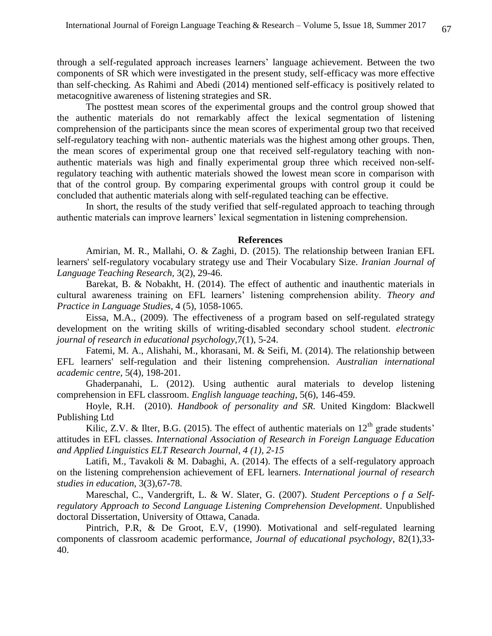through a self-regulated approach increases learners' language achievement. Between the two components of SR which were investigated in the present study, self-efficacy was more effective than self-checking. As Rahimi and Abedi (2014) mentioned self-efficacy is positively related to metacognitive awareness of listening strategies and SR.

The posttest mean scores of the experimental groups and the control group showed that the authentic materials do not remarkably affect the lexical segmentation of listening comprehension of the participants since the mean scores of experimental group two that received self-regulatory teaching with non- authentic materials was the highest among other groups. Then, the mean scores of experimental group one that received self-regulatory teaching with nonauthentic materials was high and finally experimental group three which received non-selfregulatory teaching with authentic materials showed the lowest mean score in comparison with that of the control group. By comparing experimental groups with control group it could be concluded that authentic materials along with self-regulated teaching can be effective.

In short, the results of the study verified that self-regulated approach to teaching through authentic materials can improve learners' lexical segmentation in listening comprehension.

## **References**

Amirian, M. R., Mallahi, O. & Zaghi, D. (2015). The relationship between Iranian EFL learners' self-regulatory vocabulary strategy use and Their Vocabulary Size. *Iranian Journal of Language Teaching Research,* 3(2), 29-46.

Barekat, B. & Nobakht, H. (2014). The effect of authentic and inauthentic materials in cultural awareness training on EFL learners' listening comprehension ability. *Theory and Practice in Language Studies*, 4 (5), 1058-1065.

Eissa, M.A., (2009). The effectiveness of a program based on self-regulated strategy development on the writing skills of writing-disabled secondary school student. *electronic journal of research in educational psychology*,7(1), 5-24.

Fatemi, M. A., Alishahi, M., khorasani, M. & Seifi, M. (2014). The relationship between EFL learners' self-regulation and their listening comprehension*. Australian international academic centre,* 5(4), 198-201.

Ghaderpanahi, L. (2012). Using authentic aural materials to develop listening comprehension in EFL classroom. *English language teaching*, 5(6), 146-459.

Hoyle, R.H. (2010). *Handbook of personality and SR.* United Kingdom: Blackwell Publishing Ltd

Kilic, Z.V. & Ilter, B.G. (2015). The effect of authentic materials on  $12<sup>th</sup>$  grade students' attitudes in EFL classes. *International Association of Research in Foreign Language Education and Applied Linguistics ELT Research Journal, 4 (1), 2-15*

Latifi, M., Tavakoli & M. Dabaghi, A. (2014). The effects of a self-regulatory approach on the listening comprehension achievement of EFL learners. *International journal of research studies in education*, 3(3),67-78.

Mareschal, C., Vandergrift, L. & W. Slater, G. (2007). *Student Perceptions o f a Selfregulatory Approach to Second Language Listening Comprehension Development*. Unpublished doctoral Dissertation, University of Ottawa, Canada.

Pintrich, P.R, & De Groot, E.V, (1990). Motivational and self-regulated learning components of classroom academic performance, *Journal of educational psychology*, 82(1),33- 40.